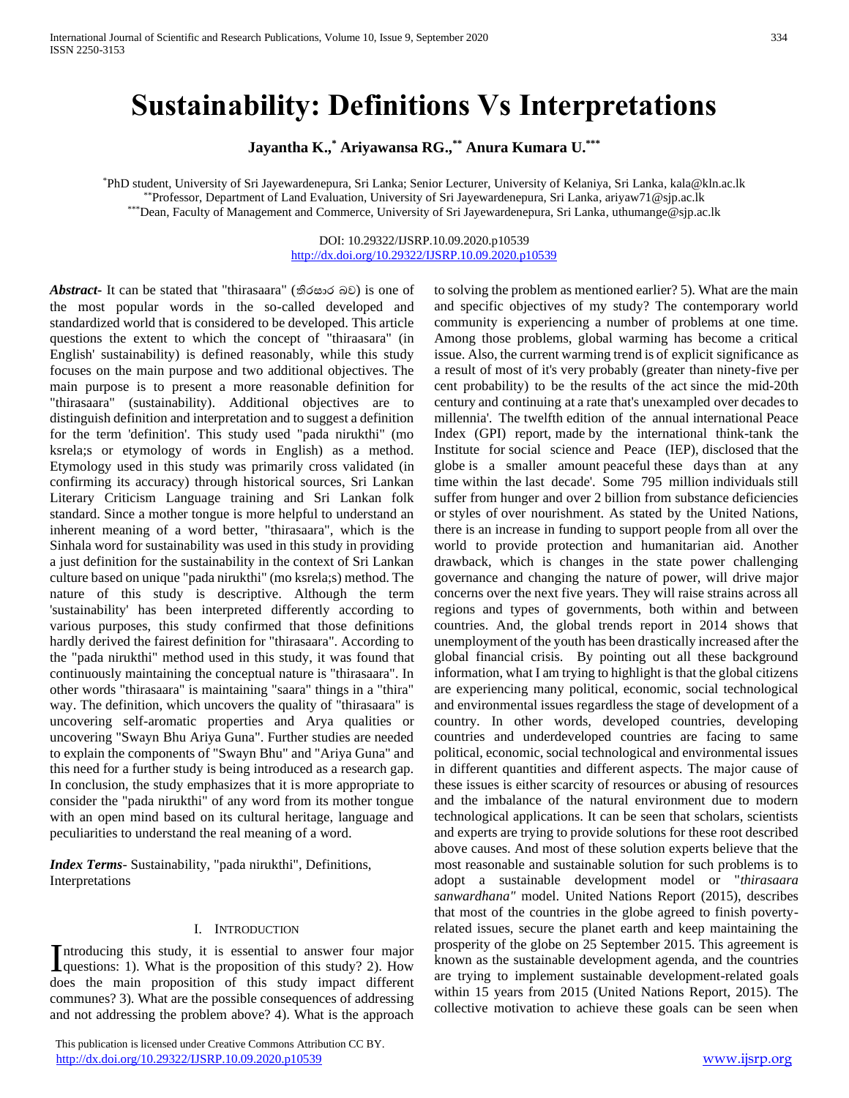# **Sustainability: Definitions Vs Interpretations**

**Jayantha K.,\* Ariyawansa RG.,\*\* Anura Kumara U.\*\*\***

\*PhD student, University of Sri Jayewardenepura, Sri Lanka; Senior Lecturer, University of Kelaniya, Sri Lanka, kala@kln.ac.lk \*\*Professor, Department of Land Evaluation, University of Sri Jayewardenepura, Sri Lanka, ariyaw71@sjp.ac.lk \*\*\*Dean, Faculty of Management and Commerce, University of Sri Jayewardenepura, Sri Lanka[, uthumange@sjp.ac.lk](mailto:uthumange@sjp.ac.lk)

> DOI: 10.29322/IJSRP.10.09.2020.p10539 <http://dx.doi.org/10.29322/IJSRP.10.09.2020.p10539>

*Abstract***-** It can be stated that "thirasaara" (තිරසාර බව) is one of the most popular words in the so-called developed and standardized world that is considered to be developed. This article questions the extent to which the concept of "thiraasara" (in English' sustainability) is defined reasonably, while this study focuses on the main purpose and two additional objectives. The main purpose is to present a more reasonable definition for "thirasaara" (sustainability). Additional objectives are to distinguish definition and interpretation and to suggest a definition for the term 'definition'. This study used "pada nirukthi" (mo ksrela;s or etymology of words in English) as a method. Etymology used in this study was primarily cross validated (in confirming its accuracy) through historical sources, Sri Lankan Literary Criticism Language training and Sri Lankan folk standard. Since a mother tongue is more helpful to understand an inherent meaning of a word better, "thirasaara", which is the Sinhala word for sustainability was used in this study in providing a just definition for the sustainability in the context of Sri Lankan culture based on unique "pada nirukthi" (mo ksrela;s) method. The nature of this study is descriptive. Although the term 'sustainability' has been interpreted differently according to various purposes, this study confirmed that those definitions hardly derived the fairest definition for "thirasaara". According to the "pada nirukthi" method used in this study, it was found that continuously maintaining the conceptual nature is "thirasaara". In other words "thirasaara" is maintaining "saara" things in a "thira" way. The definition, which uncovers the quality of "thirasaara" is uncovering self-aromatic properties and Arya qualities or uncovering "Swayn Bhu Ariya Guna". Further studies are needed to explain the components of "Swayn Bhu" and "Ariya Guna" and this need for a further study is being introduced as a research gap. In conclusion, the study emphasizes that it is more appropriate to consider the "pada nirukthi" of any word from its mother tongue with an open mind based on its cultural heritage, language and peculiarities to understand the real meaning of a word.

*Index Terms*- Sustainability, "pada nirukthi", Definitions, Interpretations

#### I. INTRODUCTION

ntroducing this study, it is essential to answer four major Introducing this study, it is essential to answer four major questions: 1). What is the proposition of this study? 2). How does the main proposition of this study impact different communes? 3). What are the possible consequences of addressing and not addressing the problem above? 4). What is the approach

 This publication is licensed under Creative Commons Attribution CC BY. <http://dx.doi.org/10.29322/IJSRP.10.09.2020.p10539> [www.ijsrp.org](http://ijsrp.org/)

to solving the problem as mentioned earlier? 5). What are the main and specific objectives of my study? The contemporary world community is experiencing a number of problems at one time. Among those problems, global warming has become a critical issue. Also, the current warming trend is of explicit significance as a result of most of it's very probably (greater than ninety-five per cent probability) to be the results of the act since the mid-20th century and continuing at a rate that's unexampled over decades to millennia'. The twelfth edition of the annual international Peace Index (GPI) report, made by the international think-tank the Institute for social science and Peace (IEP), disclosed that the globe is a smaller amount peaceful these days than at any time within the last decade'. Some 795 million individuals still suffer from hunger and over 2 billion from substance deficiencies or styles of over nourishment. As stated by the United Nations, there is an increase in funding to support people from all over the world to provide protection and humanitarian aid. Another drawback, which is changes in the state power challenging governance and changing the nature of power, will drive major concerns over the next five years. They will raise strains across all regions and types of governments, both within and between countries. And, the global trends report in 2014 shows that unemployment of the youth has been drastically increased after the global financial crisis. By pointing out all these background information, what I am trying to highlight is that the global citizens are experiencing many political, economic, social technological and environmental issues regardless the stage of development of a country. In other words, developed countries, developing countries and underdeveloped countries are facing to same political, economic, social technological and environmental issues in different quantities and different aspects. The major cause of these issues is either scarcity of resources or abusing of resources and the imbalance of the natural environment due to modern technological applications. It can be seen that scholars, scientists and experts are trying to provide solutions for these root described above causes. And most of these solution experts believe that the most reasonable and sustainable solution for such problems is to adopt a sustainable development model or "*thirasaara sanwardhana"* model. United Nations Report (2015), describes that most of the countries in the globe agreed to finish povertyrelated issues, secure the planet earth and keep maintaining the prosperity of the globe on 25 September 2015. This agreement is known as the sustainable development agenda, and the countries are trying to implement sustainable development-related goals within 15 years from 2015 (United Nations Report, 2015). The collective motivation to achieve these goals can be seen when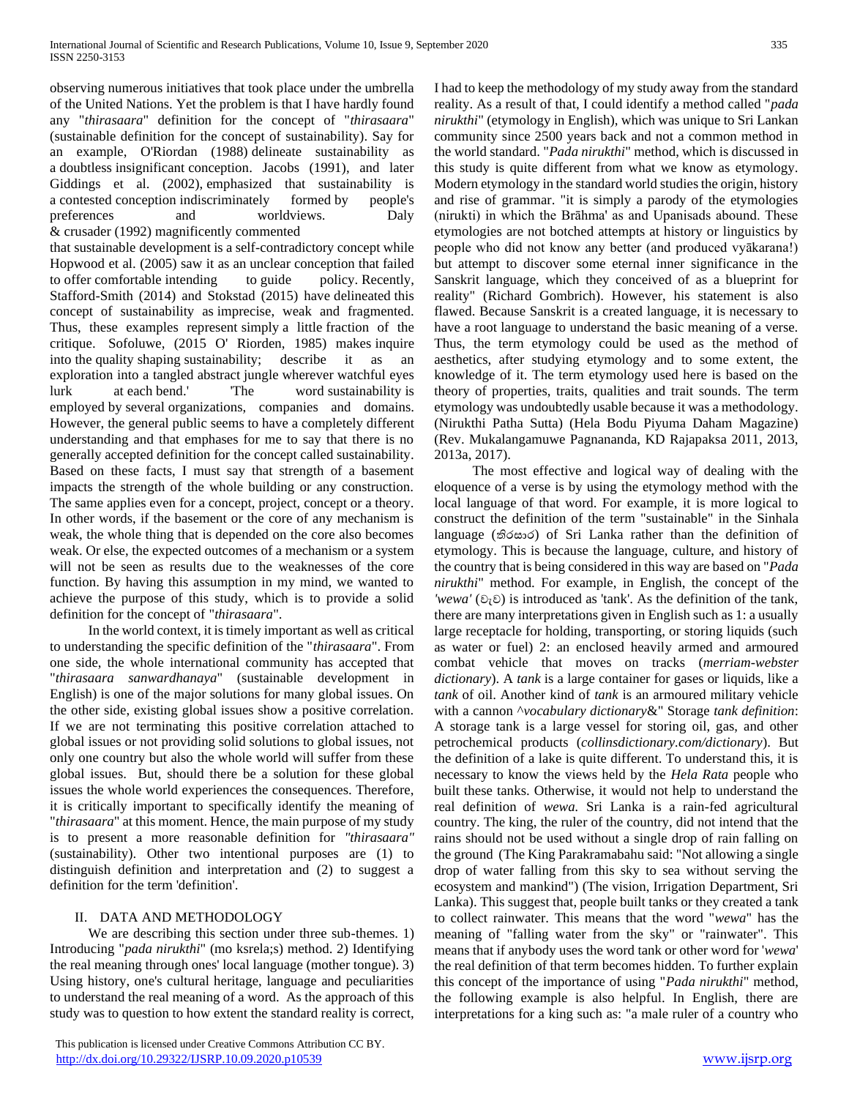observing numerous initiatives that took place under the umbrella of the United Nations. Yet the problem is that I have hardly found any "*thirasaara*" definition for the concept of "*thirasaara*" (sustainable definition for the concept of sustainability). Say for an example, O'Riordan (1988) delineate sustainability as a doubtless insignificant conception. Jacobs (1991), and later Giddings et al. (2002), emphasized that sustainability is a contested conception indiscriminately formed by people's preferences and worldviews. Daly & crusader (1992) magnificently commented

that sustainable development is a self-contradictory concept while Hopwood et al. (2005) saw it as an unclear conception that failed to offer comfortable intending to guide policy. Recently, Stafford-Smith (2014) and Stokstad (2015) have delineated this concept of sustainability as imprecise, weak and fragmented. Thus, these examples represent simply a little fraction of the critique. Sofoluwe, (2015 O' Riorden, 1985) makes inquire into the quality shaping sustainability; describe it as an exploration into a tangled abstract jungle wherever watchful eyes lurk at each bend.' 'The word sustainability is employed by several organizations, companies and domains. However, the general public seems to have a completely different understanding and that emphases for me to say that there is no generally accepted definition for the concept called sustainability. Based on these facts, I must say that strength of a basement impacts the strength of the whole building or any construction. The same applies even for a concept, project, concept or a theory. In other words, if the basement or the core of any mechanism is weak, the whole thing that is depended on the core also becomes weak. Or else, the expected outcomes of a mechanism or a system will not be seen as results due to the weaknesses of the core function. By having this assumption in my mind, we wanted to achieve the purpose of this study, which is to provide a solid definition for the concept of "*thirasaara*".

 In the world context, it is timely important as well as critical to understanding the specific definition of the "*thirasaara*". From one side, the whole international community has accepted that "*thirasaara sanwardhanaya*" (sustainable development in English) is one of the major solutions for many global issues. On the other side, existing global issues show a positive correlation. If we are not terminating this positive correlation attached to global issues or not providing solid solutions to global issues, not only one country but also the whole world will suffer from these global issues. But, should there be a solution for these global issues the whole world experiences the consequences. Therefore, it is critically important to specifically identify the meaning of "*thirasaara*" at this moment. Hence, the main purpose of my study is to present a more reasonable definition for *"thirasaara"* (sustainability). Other two intentional purposes are (1) to distinguish definition and interpretation and (2) to suggest a definition for the term 'definition'.

## II. DATA AND METHODOLOGY

 We are describing this section under three sub-themes. 1) Introducing "*pada nirukthi*" (mo ksrela;s) method. 2) Identifying the real meaning through ones' local language (mother tongue). 3) Using history, one's cultural heritage, language and peculiarities to understand the real meaning of a word. As the approach of this study was to question to how extent the standard reality is correct, I had to keep the methodology of my study away from the standard reality. As a result of that, I could identify a method called "*pada nirukthi*" (etymology in English), which was unique to Sri Lankan community since 2500 years back and not a common method in the world standard. "*Pada nirukthi*" method, which is discussed in this study is quite different from what we know as etymology. Modern etymology in the standard world studies the origin, history and rise of grammar. "it is simply a parody of the etymologies (nirukti) in which the Brāhma' as and Upanisads abound. These etymologies are not botched attempts at history or linguistics by people who did not know any better (and produced vyākarana!) but attempt to discover some eternal inner significance in the Sanskrit language, which they conceived of as a blueprint for reality" (Richard Gombrich). However, his statement is also flawed. Because Sanskrit is a created language, it is necessary to have a root language to understand the basic meaning of a verse. Thus, the term etymology could be used as the method of aesthetics, after studying etymology and to some extent, the knowledge of it. The term etymology used here is based on the theory of properties, traits, qualities and trait sounds. The term etymology was undoubtedly usable because it was a methodology. (Nirukthi Patha Sutta) (Hela Bodu Piyuma Daham Magazine) (Rev. Mukalangamuwe Pagnananda, KD Rajapaksa 2011, 2013, 2013a, 2017).

 The most effective and logical way of dealing with the eloquence of a verse is by using the etymology method with the local language of that word. For example, it is more logical to construct the definition of the term "sustainable" in the Sinhala language (තිරසාර) of Sri Lanka rather than the definition of etymology. This is because the language, culture, and history of the country that is being considered in this way are based on "*Pada nirukthi*" method. For example, in English, the concept of the *'wewa'* (වැව) is introduced as 'tank'. As the definition of the tank, there are many interpretations given in English such as 1: a usually large receptacle for holding, transporting, or storing liquids (such as water or fuel) 2: an enclosed heavily armed and armoured combat vehicle that moves on tracks (*merriam-webster dictionary*). A *tank* is a large container for gases or liquids, like a *tank* of oil. Another kind of *tank* is an armoured military vehicle with a cannon ^*vocabulary dictionary*&" Storage *tank definition*: A storage tank is a large vessel for storing oil, gas, and other petrochemical products (*collinsdictionary.com/dictionary*). But the definition of a lake is quite different. To understand this, it is necessary to know the views held by the *Hela Rata* people who built these tanks. Otherwise, it would not help to understand the real definition of *wewa.* Sri Lanka is a rain-fed agricultural country. The king, the ruler of the country, did not intend that the rains should not be used without a single drop of rain falling on the ground (The King Parakramabahu said: "Not allowing a single drop of water falling from this sky to sea without serving the ecosystem and mankind") (The vision, Irrigation Department, Sri Lanka). This suggest that, people built tanks or they created a tank to collect rainwater. This means that the word "*wewa*" has the meaning of "falling water from the sky" or "rainwater". This means that if anybody uses the word tank or other word for '*wewa*' the real definition of that term becomes hidden. To further explain this concept of the importance of using "*Pada nirukthi*" method, the following example is also helpful. In English, there are interpretations for a king such as: "a male ruler of a country who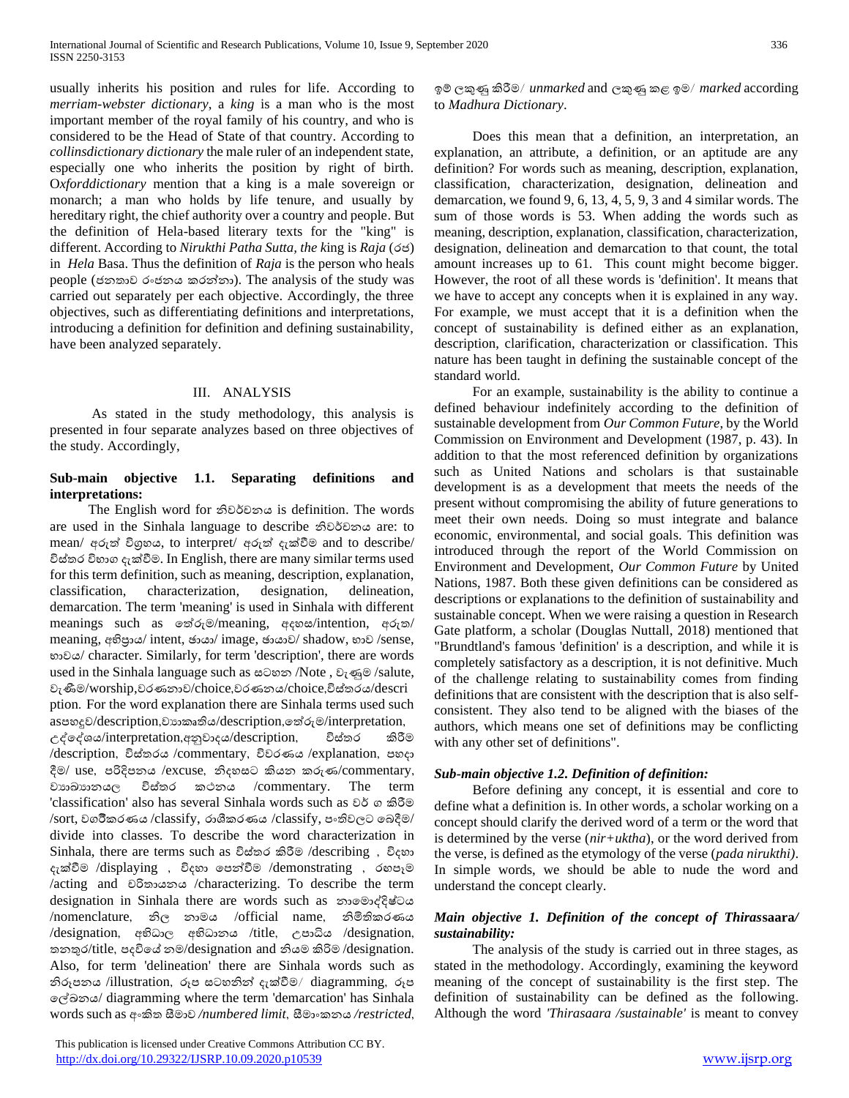usually inherits his position and rules for life. According to *merriam-webster dictionary*, a *king* is a man who is the most important member of the royal family of his country, and who is considered to be the Head of State of that country. According to *collinsdictionary dictionary* the male ruler of an independent state, especially one who inherits the position by right of birth. O*xforddictionary* mention that a king is a male sovereign or monarch; a man who holds by life tenure, and usually by hereditary right, the chief authority over a country and people. But the definition of Hela-based literary texts for the "king" is different. According to *Nirukthi Patha Sutta, the k*ing is *Raja* (රජ) in *Hela* Basa. Thus the definition of *Raja* is the person who heals people (ජනතාව රංජනය කරන්නා). The analysis of the study was carried out separately per each objective. Accordingly, the three objectives, such as differentiating definitions and interpretations, introducing a definition for definition and defining sustainability, have been analyzed separately.

#### III. ANALYSIS

 As stated in the study methodology, this analysis is presented in four separate analyzes based on three objectives of the study. Accordingly,

## **Sub-main objective 1.1. Separating definitions and interpretations:**

 The English word for නිවවචනය is definition. The words are used in the Sinhala language to describe නිවවචනය are: to mean/ අරුත් විගුහය, to interpret/ අරුත් දැක්වීම and to describe/ විස්තර විභාග දැක්වීම. In English, there are many similar terms used for this term definition, such as meaning, description, explanation, classification, characterization, designation, delineation, demarcation. The term 'meaning' is used in Sinhala with different meanings such as තත්රුම/meaning, අදහස/intention, අරුත/ meaning, අභිපාය/ intent, ඡායා/ image, ඡායාව/ shadow, භාව /sense, භාවය/ character. Similarly, for term 'description', there are words used in the Sinhala language such as සටහන /Note , වැණුම /salute, වැණීම/worship,වරණනාව/choice,වරණනය/choice,විස්තරය/descri ption' For the word explanation there are Sinhala terms used such asපහදුව/description,වායාකෘතිය/description, තේරුම/interpretation, උද්තද්ශය/interpretation"අනුවාදය/description" විස්තර කිරීම /description" විස්තරය /commentary" විවරණය /explanation" පහදා දීම/ use, පරිදිපනය /excuse, නිදහසට කියන කරුණ/commentary, වයාඛ්යානය, විස්තර කථනය /commentary. The term 'classification' also has several Sinhala words such as වව ග කිරීම /sort, වගවීකරණය /classify, රාශීකරණය /classify, පංතිවලට තබදීම/ divide into classes. To describe the word characterization in Sinhala, there are terms such as විස්තර කිරීම /describing " විදහා දැක්වීම /displaying " විදහා තපන්ීම /demonstrating " රඟපෑම /acting and චරිතායනය /characterizing. To describe the term designation in Sinhala there are words such as නාතමාද්දිෂ්ටය /nomenclature" නිල නාමය /official name" නිමිතිකරණය /designation, අභිධාල අභිධානය /title, උපාධිය /designation, තනතුර/title" පදවිතේ නම/designation and නියම කිරිම /designation. Also, for term 'delineation' there are Sinhala words such as නිරූපනය /illustration, රූප සටහනින් දැක්වීම/ diagramming, රූප තේඛ්නය/ diagramming where the term 'demarcation' has Sinhala words such as අංකිත සීමාව */numbered limit*" සීමාංකනය */restricted*"

 This publication is licensed under Creative Commons Attribution CC BY. <http://dx.doi.org/10.29322/IJSRP.10.09.2020.p10539> [www.ijsrp.org](http://ijsrp.org/)

 Does this mean that a definition, an interpretation, an explanation, an attribute, a definition, or an aptitude are any definition? For words such as meaning, description, explanation, classification, characterization, designation, delineation and demarcation, we found 9, 6, 13, 4, 5, 9, 3 and 4 similar words. The sum of those words is 53. When adding the words such as meaning, description, explanation, classification, characterization, designation, delineation and demarcation to that count, the total amount increases up to 61. This count might become bigger. However, the root of all these words is 'definition'. It means that we have to accept any concepts when it is explained in any way. For example, we must accept that it is a definition when the concept of sustainability is defined either as an explanation, description, clarification, characterization or classification. This nature has been taught in defining the sustainable concept of the standard world.

 For an example, sustainability is the ability to continue a defined behaviour indefinitely according to the definition of sustainable development from *Our Common Future*, by the World Commission on Environment and Development (1987, p. 43). In addition to that the most referenced definition by organizations such as United Nations and scholars is that sustainable development is as a development that meets the needs of the present without compromising the ability of future generations to meet their own needs. Doing so must integrate and balance economic, environmental, and social goals. This definition was introduced through the report of the World Commission on Environment and Development, *Our Common Future* by United Nations, 1987. Both these given definitions can be considered as descriptions or explanations to the definition of sustainability and sustainable concept. When we were raising a question in Research Gate platform, a scholar (Douglas Nuttall, 2018) mentioned that "Brundtland's famous 'definition' is a description, and while it is completely satisfactory as a description, it is not definitive. Much of the challenge relating to sustainability comes from finding definitions that are consistent with the description that is also selfconsistent. They also tend to be aligned with the biases of the authors, which means one set of definitions may be conflicting with any other set of definitions".

## *Sub-main objective 1.2. Definition of definition:*

 Before defining any concept, it is essential and core to define what a definition is. In other words, a scholar working on a concept should clarify the derived word of a term or the word that is determined by the verse (*nir+uktha*), or the word derived from the verse, is defined as the etymology of the verse (*pada nirukthi)*. In simple words, we should be able to nude the word and understand the concept clearly.

## *Main objective 1. Definition of the concept of Thiras***saara***/ sustainability:*

 The analysis of the study is carried out in three stages, as stated in the methodology. Accordingly, examining the keyword meaning of the concept of sustainability is the first step. The definition of sustainability can be defined as the following. Although the word *'Thirasaara /sustainable'* is meant to convey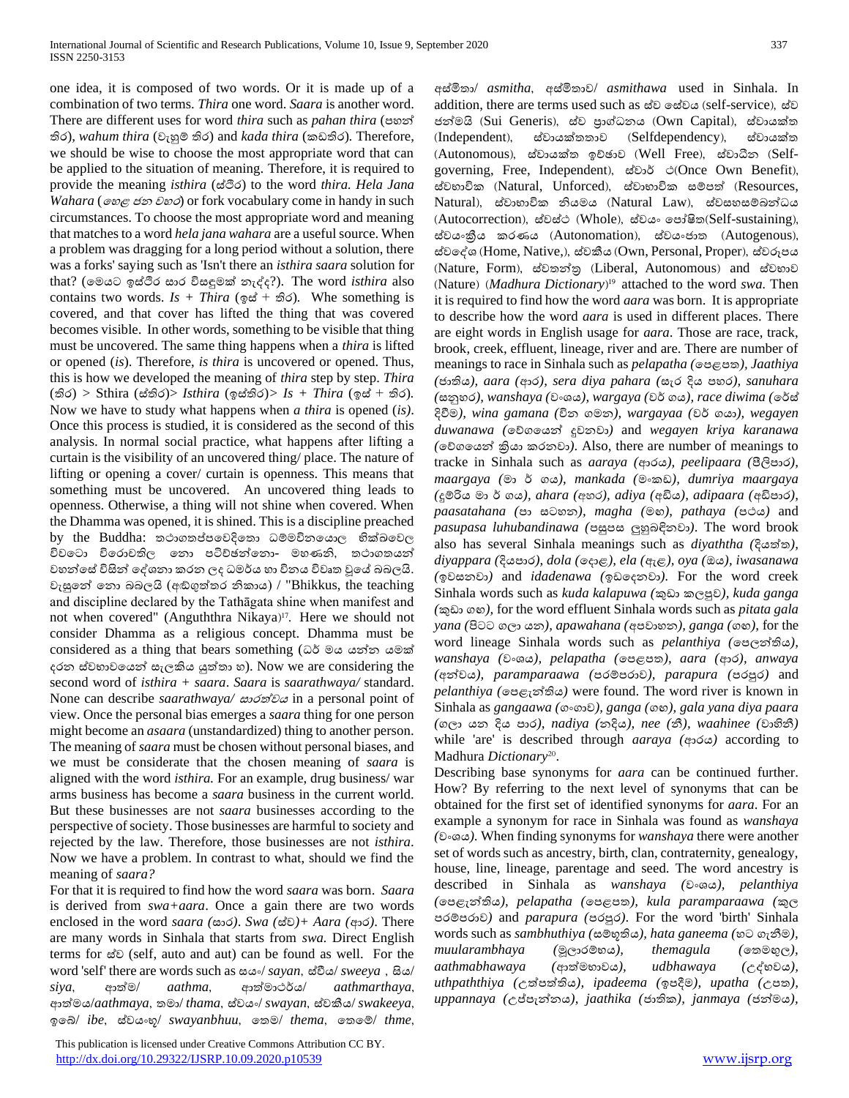one idea, it is composed of two words. Or it is made up of a combination of two terms. *Thira* one word. *Saara* is another word. There are different uses for word *thira* such as *pahan thira* (පහන් තිර)*, wahum thira* (වැහුම් තිර) and *kada thira* (කඩතිර)*.* Therefore, we should be wise to choose the most appropriate word that can be applied to the situation of meaning. Therefore, it is required to provide the meaning *isthira* (ස්ිර) to the word *thira. Hela Jana Wahara* (තහළ ජන වහර) or fork vocabulary come in handy in such circumstances. To choose the most appropriate word and meaning that matches to a word *hela jana wahara* are a useful source. When a problem was dragging for a long period without a solution, there was a forks' saying such as 'Isn't there an *isthira saara* solution for that? (තමයට ඉස්ිර සාර විසඳුමක්ව නැද්ද?). The word *isthira* also contains two words. *Is + Thira* (ඉස් + තිර)*.* Whe something is covered, and that cover has lifted the thing that was covered becomes visible. In other words, something to be visible that thing must be uncovered. The same thing happens when a *thira* is lifted or opened (*is*). Therefore, *is thira* is uncovered or opened. Thus, this is how we developed the meaning of *thira* step by step. *Thira*  (තිර) *>* Sthira (ස්තිර)> *Isthira* (ඉස්තිර)*> Is + Thira* (ඉස් + තිර)*.*  Now we have to study what happens when *a thira* is opened (*is)*. Once this process is studied, it is considered as the second of this analysis. In normal social practice, what happens after lifting a curtain is the visibility of an uncovered thing/ place. The nature of lifting or opening a cover/ curtain is openness. This means that something must be uncovered. An uncovered thing leads to openness. Otherwise, a thing will not shine when covered. When the Dhamma was opened, it is shined. This is a discipline preached by the Buddha: තථාගතප්පවෙදිතො ධම්මවිනයොල භික්ඛවෙල විවටො විරොවතිල තො පටිච්ඡන්තො- මහණනි, තථාගතයන් වහන්තස්විසින් තද්ශනා කරන ලද ධමවය හා විනය විවෘත වූතේ බබලයි. වැසුනේ තො බබලයි (අඬගුත්තර නිකාය) / "Bhikkus, the teaching and discipline declared by the Tathāgata shine when manifest and not when covered" (Anguththra Nikaya)<sup>17</sup>. Here we should not consider Dhamma as a religious concept. Dhamma must be considered as a thing that bears something (ධර් මය යන්න යමක් දරන ස්වභාවතයන් සැලකිය යුත්තා හ). Now we are considering the second word of *isthira + saara*. *Saara* is *saarathwaya/* standard. None can describe *saarathwaya/* සාරත්වය in a personal point of view. Once the personal bias emerges a *saara* thing for one person might become an *asaara* (unstandardized) thing to another person. The meaning of *saara* must be chosen without personal biases, and we must be considerate that the chosen meaning of *saara* is aligned with the word *isthira.* For an example, drug business/ war arms business has become a *saara* business in the current world. But these businesses are not *saara* businesses according to the perspective of society. Those businesses are harmful to society and rejected by the law. Therefore, those businesses are not *isthira*. Now we have a problem. In contrast to what, should we find the meaning of *saara?* 

For that it is required to find how the word *saara* was born. *Saara*  is derived from *swa+aara*. Once a gain there are two words enclosed in the word *saara (*සාර*)*. *Swa (*ස්ව*)+ Aara (*ආර*)*. There are many words in Sinhala that starts from *swa.* Direct English terms for ස්ව (self, auto and aut) can be found as well. For the word 'self' there are words such as සයං/ *sayan*, ස්වීය/ *sweeya*, සිය/ *siya*" ආත්ම/ *aathma*" ආත්මාථවය/ *aathmarthaya*" ආත්මය/*aathmaya*" තමා/ *thama*" ස්වයං/ *swayan*" ස්වකීය/ *swakeeya*" ඉතේ/ *ibe*" ස්වයංභූ/ *swayanbhuu*" තතම/ *thema*" තතතම්/ *thme*"

 This publication is licensed under Creative Commons Attribution CC BY. <http://dx.doi.org/10.29322/IJSRP.10.09.2020.p10539> [www.ijsrp.org](http://ijsrp.org/)

අස්මිතා/ *asmitha*" අස්මිතාව/ *asmithawa* used in Sinhala. In addition, there are terms used such as ස්ව ගස්වය (self-service), ස්ව ජන්මයි (Sui Generis), ස්ව පුාග්ධනය (Own Capital), ස්වායක්ත ^Independent&" ස්වායක්වතතාව ^Selfdependency&" ස්වායක්වත  $(Autonomous)$ , ස්වායක්ත ඉච්ඡාව (Well Free), ස්වාධීන (Selfgoverning, Free, Independent), ස්වාර් ථ(Once Own Benefit), ස්වභාවික (Natural, Unforced), ස්වාභාවික සම්පත් (Resources, Natural), ස්වාභාවික නියමය (Natural Law), ස්වසහසම්බන්ධය (Autocorrection), ස්වස්ථ (Whole), ස්වයං පෝෂිත(Self-sustaining), ස්වයංකීය කරණය (Autonomation), ස්වයංජාත (Autogenous), ස්වලේශ (Home, Native,), ස්වකීය (Own, Personal, Proper), ස්වරූපය ^Nature, Form&" ස්වතන්ර ^Liberal, Autonomous& and ස්වභාව (Nature) (Madhura Dictionary)<sup>19</sup> attached to the word *swa*. Then it is required to find how the word *aara* was born. It is appropriate to describe how the word *aara* is used in different places. There are eight words in English usage for *aara*. Those are race, track, brook, creek, effluent, lineage, river and are. There are number of meanings to race in Sinhala such as *pelapatha (*තපළපත*), Jaathiya (*ජාතිය*), aara (*ආර*), sera diya pahara (*සැර දිය පහර*), sanuhara (*සනුහර*), wanshaya (*වංශය*), wargaya (*වව ගය*), race diwima (*තවස් දිීම*), wina gamana (*වින ගමන*), wargayaa (*වව ගයා*), wegayen duwanawa (*තේගතයන් දුවනවා*)* and *wegayen kriya karanawa (*තේගතයන් ක්රියා කරනවා*)*. Also, there are number of meanings to tracke in Sinhala such as *aaraya (*ආරය*), peelipaara (*පීලිපාර*), maargaya (*මා ව ගය*), mankada (*මංකඩ*), dumriya maargaya (*දුම්රිය මා ව ගය*), ahara (*wyr*), adiya (*අඩිය*), adipaara (*අඩිපාර*), paasatahana (*පා සටහන*), magha (*මඟ*), pathaya (*පථය*)* and *pasupasa luhubandinawa (*පසුපස ලුහුබඳිනවා*)*. The word brook also has several Sinhala meanings such as *diyaththa (*දියත්ත*), diyappara (*දියපාර*), dola (*තදාළ*), ela (*ඇළ*), oya (*ඔය*), iwasanawa (*ඉවසනවා*)* and *idadenawa (*ඉඩතදනවා*).* For the word creek Sinhala words such as *kuda kalapuwa (*කුඩා කලපුව*), kuda ganga (*කුඩා ගඟ*),* for the word effluent Sinhala words such as *pitata gala yana (*පිටට ගලා යන*), apawahana (*අපවාහන*), ganga (*ගඟ*),* for the word lineage Sinhala words such as *pelanthiya (*තපලන්තිය*), wanshaya (*වංශය*), pelapatha (*තපළපත*), aara (*ආර*), anwaya (*අන්වය*), paramparaawa (*පරම්පරාව*), parapura (*පරපුර*)* and *pelanthiya (*තපළැන්තිය*)* were found. The word river is known in Sinhala as *gangaawa (*ගංගාව*), ganga (*ගඟ*), gala yana diya paara (*ගලා යන දිය පාර*), nadiya (*නදිය*), nee (*නී*), waahinee (*වාහිනී*)*  while 'are' is described through *aaraya (*ආරය*)* according to Madhura Dictionary<sup>20</sup>.

Describing base synonyms for *aara* can be continued further. How? By referring to the next level of synonyms that can be obtained for the first set of identified synonyms for *aara*. For an example a synonym for race in Sinhala was found as *wanshaya (*වංශය*).* When finding synonyms for *wanshaya* there were another set of words such as ancestry, birth, clan, contraternity, genealogy, house, line, lineage, parentage and seed. The word ancestry is described in Sinhala as *wanshaya (*වංශය*), pelanthiya (*තපළැන්තිය*), pelapatha (*තපළපත*), kula paramparaawa (*කුල පරම්පරාව*)* and *parapura (*පරපුර*)*. For the word 'birth' Sinhala words such as *sambhuthiya (*සම්භූතිය*), hata ganeema (*හට ගැනීම*), muularambhaya (*මූලාරම්භය*), themagula (*තතමඟුල*), aathmabhawaya (*ආත්මභාවය*), udbhawaya (*උද්භවය*), uthpaththiya (*උත්පත්තිය*), ipadeema (*ඉපදීම*), upatha (*උපත*), uppannaya (*උප්පැන්නය*), jaathika (*ජාතික*), janmaya (*ජන්මය*),*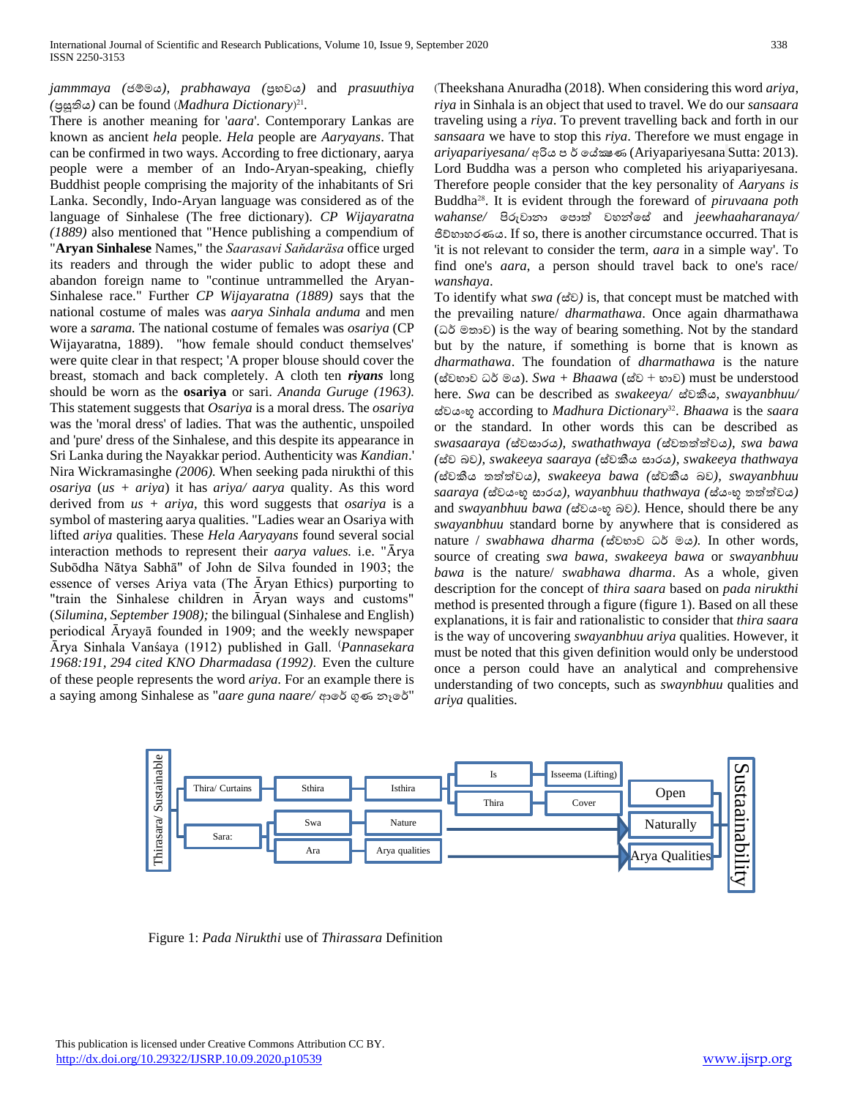## *jammmaya (*ජම්මය*), prabhawaya (*ප්රභවය*)* and *prasuuthiya*  (පුසූතිය) can be found (*Madhura Dictionary*)<sup>21</sup>.

There is another meaning for '*aara*'. Contemporary Lankas are known as ancient *hela* people. *Hela* people are *Aaryayans*. That can be confirmed in two ways. According to free dictionary, aarya people were a member of an Indo-Aryan-speaking, chiefly Buddhist people comprising the majority of the inhabitants of Sri Lanka. Secondly, Indo-Aryan language was considered as of the language of Sinhalese (The free dictionary). *CP Wijayaratna (1889)* also mentioned that "Hence publishing a compendium of "**Aryan Sinhalese** Names," the *Saarasavi Saňdaräsa* office urged its readers and through the wider public to adopt these and abandon foreign name to "continue untrammelled the Aryan-Sinhalese race." Further *CP Wijayaratna (1889)* says that the national costume of males was *aarya Sinhala anduma* and men wore a *sarama.* The national costume of females was *osariya* (CP Wijayaratna, 1889). "how female should conduct themselves' were quite clear in that respect; 'A proper blouse should cover the breast, stomach and back completely. A cloth ten *riyans* long should be worn as the **osariya** or sari. *Ananda Guruge (1963).* This statement suggests that *Osariya* is a moral dress. The *osariya* was the 'moral dress' of ladies. That was the authentic, unspoiled and 'pure' dress of the Sinhalese, and this despite its appearance in Sri Lanka during the Nayakkar period. Authenticity was *Kandian*.' Nira Wickramasinghe *(2006).* When seeking pada nirukthi of this *osariya* (*us + ariya*) it has *ariya/ aarya* quality. As this word derived from *us + ariya,* this word suggests that *osariya* is a symbol of mastering aarya qualities. "Ladies wear an Osariya with lifted *ariya* qualities. These *Hela Aaryayans* found several social interaction methods to represent their *aarya values*. i.e. "Ārya Subōdha Nātya Sabhā" of John de Silva founded in 1903; the essence of verses Ariya vata (The Āryan Ethics) purporting to "train the Sinhalese children in Aryan ways and customs" (*Silumina, September 1908);* the bilingual (Sinhalese and English) periodical Āryayā founded in 1909; and the weekly newspaper Ᾱrya Sinhala Vanśaya (1912) published in Gall. (*Pannasekara*  1968:191, 294 cited KNO Dharmadasa (1992). Even the culture of these people represents the word *ariya.* For an example there is a saying among Sinhalese as "aare guna naare/ ආරේ ගුණ නෑරේ"

^Theekshana Anuradha (2018). When considering this word *ariya*, *riya* in Sinhala is an object that used to travel. We do our *sansaara*  traveling using a *riya*. To prevent travelling back and forth in our *sansaara* we have to stop this *riya*. Therefore we must engage in *ariyapariyesana/* අරිය ප ව තේක්ෂණ (Ariyapariyesana Sutta: 2013). Lord Buddha was a person who completed his ariyapariyesana. Therefore people consider that the key personality of *Aaryans is*  Buddha28. It is evident through the foreward of *piruvaana poth wahanse/* පිරුවානා තපාත් වහන්තස් and *jeewhaaharanaya/* ජිේහාහරණය. If so, there is another circumstance occurred. That is 'it is not relevant to consider the term, *aara* in a simple way'. To find one's *aara*, a person should travel back to one's race/ *wanshaya*.

To identify what *swa (*ස්ව*)* is, that concept must be matched with the prevailing nature/ *dharmathawa*. Once again dharmathawa (ධව මතාව) is the way of bearing something. Not by the standard but by the nature, if something is borne that is known as *dharmathawa*. The foundation of *dharmathawa* is the nature (ස්වභාව ධව මය). *Swa + Bhaawa* (ස්ව + භාව) must be understood here. *Swa* can be described as *swakeeya/* ස්වකීය*, swayanbhuu/*  ස්වයංභූ according to *Madhura Dictionary*<sup>32</sup> . *Bhaawa* is the *saara*  or the standard. In other words this can be described as *swasaaraya (*ස්වසාරය*), swathathwaya (*ස්වතත්ත්වය*), swa bawa (*ස්ව බව*), swakeeya saaraya (*ස්වකීය සාරය*), swakeeya thathwaya (*ස්වකීය තත්ත්වය*), swakeeya bawa (*ස්වකීය බව*), swayanbhuu saaraya (*ස්වයංභූ සාරය*), wayanbhuu thathwaya (*ස්යංභූ තත්ත්වය*)*  and *swayanbhuu bawa (*ස්වයංභූ බව*).* Hence, should there be any *swayanbhuu* standard borne by anywhere that is considered as nature / *swabhawa dharma (*ස්වභාව ධව මය*).* In other words, source of creating *swa bawa, swakeeya bawa* or *swayanbhuu bawa* is the nature/ *swabhawa dharma*. As a whole, given description for the concept of *thira saara* based on *pada nirukthi*  method is presented through a figure (figure 1). Based on all these explanations, it is fair and rationalistic to consider that *thira saara*  is the way of uncovering *swayanbhuu ariya* qualities. However, it must be noted that this given definition would only be understood once a person could have an analytical and comprehensive understanding of two concepts, such as *swaynbhuu* qualities and *ariya* qualities.

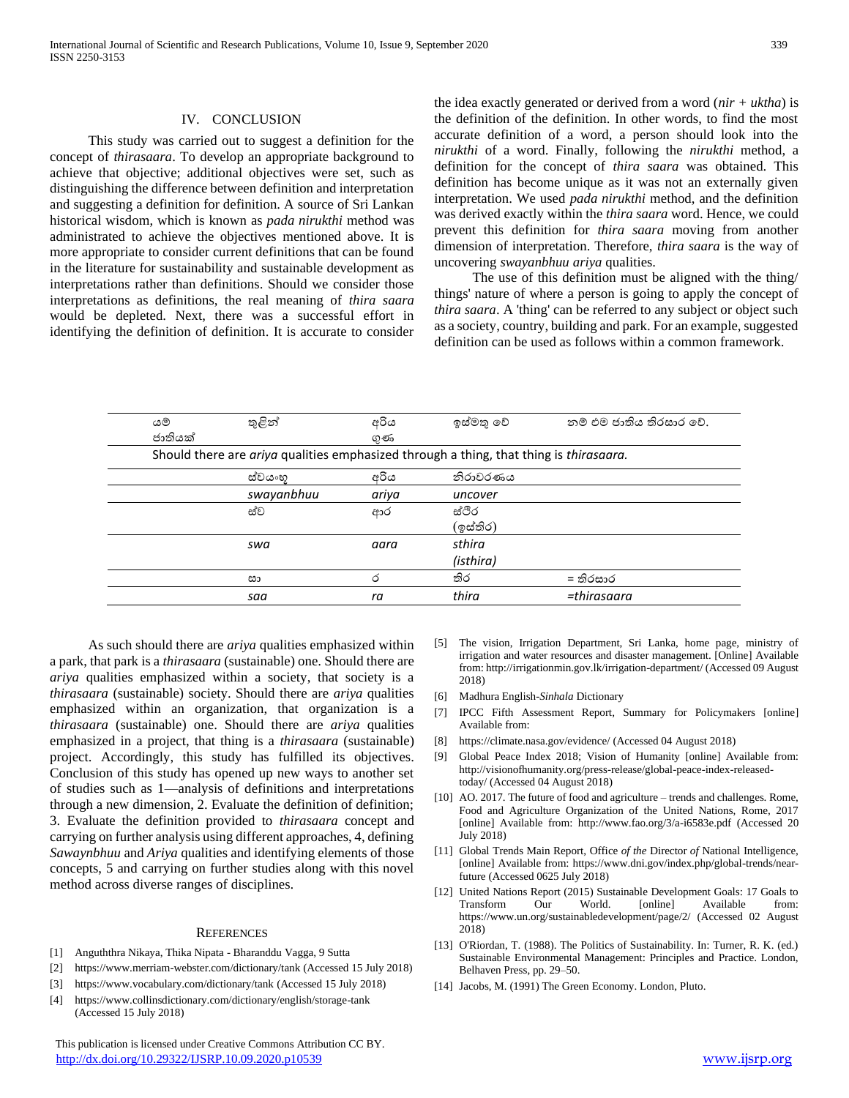#### IV. CONCLUSION

 This study was carried out to suggest a definition for the concept of *thirasaara*. To develop an appropriate background to achieve that objective; additional objectives were set, such as distinguishing the difference between definition and interpretation and suggesting a definition for definition. A source of Sri Lankan historical wisdom, which is known as *pada nirukthi* method was administrated to achieve the objectives mentioned above. It is more appropriate to consider current definitions that can be found in the literature for sustainability and sustainable development as interpretations rather than definitions. Should we consider those interpretations as definitions, the real meaning of *thira saara*  would be depleted. Next, there was a successful effort in identifying the definition of definition. It is accurate to consider

the idea exactly generated or derived from a word (*nir + uktha*) is the definition of the definition. In other words, to find the most accurate definition of a word, a person should look into the *nirukthi* of a word. Finally, following the *nirukthi* method, a definition for the concept of *thira saara* was obtained. This definition has become unique as it was not an externally given interpretation. We used *pada nirukthi* method, and the definition was derived exactly within the *thira saara* word. Hence, we could prevent this definition for *thira saara* moving from another dimension of interpretation. Therefore, *thira saara* is the way of uncovering *swayanbhuu ariya* qualities.

 The use of this definition must be aligned with the thing/ things' nature of where a person is going to apply the concept of *thira saara*. A 'thing' can be referred to any subject or object such as a society, country, building and park. For an example, suggested definition can be used as follows within a common framework.

| යම්                                                                                    | තුළින්     | අරිය  | ඉස්මතු වේ | නම් එම ජාතිය තිරසාර වේ. |
|----------------------------------------------------------------------------------------|------------|-------|-----------|-------------------------|
| ජාතියක්                                                                                |            | ගුණ   |           |                         |
| Should there are ariya qualities emphasized through a thing, that thing is thirasaara. |            |       |           |                         |
|                                                                                        | ස්වයංහ     | අරිය  | තිරාවරණය  |                         |
|                                                                                        | swayanbhuu | ariya | uncover   |                         |
|                                                                                        | ස්ව        | ආර    | ස්ථිර     |                         |
|                                                                                        |            |       | (ඉස්තිර)  |                         |
|                                                                                        | swa        | aara  | sthira    |                         |
|                                                                                        |            |       | (isthira) |                         |
|                                                                                        | සා         | ර     | තිර       | = තිරසාර                |
|                                                                                        | saa        | ra    | thira     | =thirasaara             |

 As such should there are *ariya* qualities emphasized within a park, that park is a *thirasaara* (sustainable) one. Should there are *ariya* qualities emphasized within a society, that society is a *thirasaara* (sustainable) society. Should there are *ariya* qualities emphasized within an organization, that organization is a *thirasaara* (sustainable) one. Should there are *ariya* qualities emphasized in a project, that thing is a *thirasaara* (sustainable) project. Accordingly, this study has fulfilled its objectives. Conclusion of this study has opened up new ways to another set of studies such as 1—analysis of definitions and interpretations through a new dimension, 2. Evaluate the definition of definition; 3. Evaluate the definition provided to *thirasaara* concept and carrying on further analysis using different approaches, 4, defining *Sawaynbhuu* and *Ariya* qualities and identifying elements of those concepts, 5 and carrying on further studies along with this novel method across diverse ranges of disciplines.

#### **REFERENCES**

- [1] Anguththra Nikaya, Thika Nipata Bharanddu Vagga, 9 Sutta
- [2] <https://www.merriam-webster.com/dictionary/tank> (Accessed 15 July 2018)
- [3] <https://www.vocabulary.com/dictionary/tank> (Accessed 15 July 2018)
- [4] <https://www.collinsdictionary.com/dictionary/english/storage-tank> (Accessed 15 July 2018)

 This publication is licensed under Creative Commons Attribution CC BY. <http://dx.doi.org/10.29322/IJSRP.10.09.2020.p10539> [www.ijsrp.org](http://ijsrp.org/)

- [5] The vision, Irrigation Department, Sri Lanka, home page, ministry of irrigation and water resources and disaster management. [Online] Available from[: http://irrigationmin.gov.lk/irrigation-department/](http://irrigationmin.gov.lk/irrigation-department/) (Accessed 09 August 2018)
- [6] Madhura English-*Sinhala* Dictionary
- [7] IPCC Fifth Assessment Report, [Summary for Policymakers](https://www.ipcc.ch/pdf/assessment-report/ar5/syr/AR5_SYR_FINAL_SPM.pdf) [online] Available from:
- [8] <https://climate.nasa.gov/evidence/> (Accessed 04 August 2018)
- [9] Global Peace Index 2018; Vision of Humanity [online] Available from: [http://visionofhumanity.org/press-release/global-peace-index-released](http://visionofhumanity.org/press-release/global-peace-index-released-today/)[today/](http://visionofhumanity.org/press-release/global-peace-index-released-today/) (Accessed 04 August 2018)
- [10] AO. 2017. The future of food and agriculture trends and challenges. Rome, Food and Agriculture Organization of the United Nations, Rome, 2017 [online] Available from:<http://www.fao.org/3/a-i6583e.pdf> (Accessed 20 July 2018)
- [11] Global Trends Main Report, Office *of the* Director *of* [National Intelligence,](https://www.odni.gov/index.php) [online] Available from: [https://www.dni.gov/index.php/global-trends/near](https://www.dni.gov/index.php/global-trends/near-future)[future](https://www.dni.gov/index.php/global-trends/near-future) (Accessed 0625 July 2018)
- [12] United Nations Report (2015) Sustainable Development Goals: 17 Goals to Transform Our World. [online] Available from: https://www.un.org/sustainabledevelopment/page/2/ (Accessed 02 August 2018)
- [13] O'Riordan, T. (1988). The Politics of Sustainability. In: Turner, R. K. (ed.) Sustainable Environmental Management: Principles and Practice. London, Belhaven Press, pp. 29–50.
- [14] Jacobs, M. (1991) The Green Economy. London, Pluto.